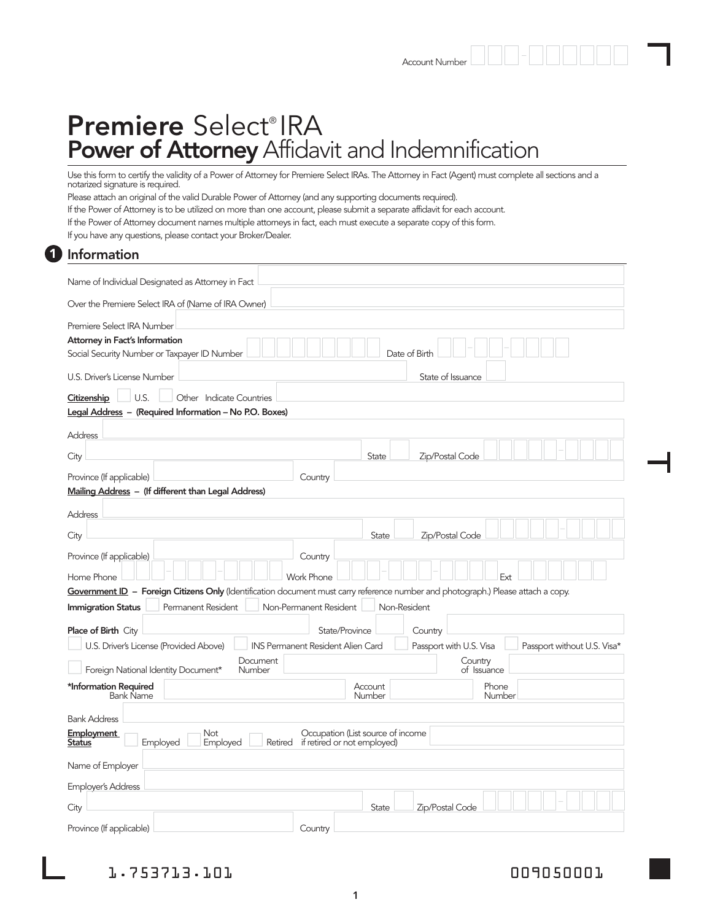# Premiere Select® IRA Power of Attorney Affidavit and Indemnification

Use this form to certify the validity of a Power of Attorney for Premiere Select IRAs. The Attorney in Fact (Agent) must complete all sections and a notarized signature is required.

Please attach an original of the valid Durable Power of Attorney (and any supporting documents required).

If the Power of Attorney is to be utilized on more than one account, please submit a separate affidavit for each account.

If the Power of Attorney document names multiple attorneys in fact, each must execute a separate copy of this form.

If you have any questions, please contact your Broker/Dealer.

### Information 1

| Name of Individual Designated as Attorney in Fact                                                                                                |                                          |                   |                         |                             |  |  |
|--------------------------------------------------------------------------------------------------------------------------------------------------|------------------------------------------|-------------------|-------------------------|-----------------------------|--|--|
| Over the Premiere Select IRA of (Name of IRA Owner)                                                                                              |                                          |                   |                         |                             |  |  |
| Premiere Select IRA Number                                                                                                                       |                                          |                   |                         |                             |  |  |
| Attorney in Fact's Information                                                                                                                   |                                          |                   |                         |                             |  |  |
| Date of Birtl<br>Social Security Number or Taxpayer ID Number                                                                                    |                                          |                   |                         |                             |  |  |
| U.S. Driver's License Number<br>State of Issuance                                                                                                |                                          |                   |                         |                             |  |  |
| U.S.<br>Citizenship<br>Other Indicate Countries                                                                                                  |                                          |                   |                         |                             |  |  |
| Legal Address - (Required Information - No P.O. Boxes)                                                                                           |                                          |                   |                         |                             |  |  |
| Address                                                                                                                                          |                                          |                   |                         |                             |  |  |
| City                                                                                                                                             |                                          | State             | Zip/Postal Code         |                             |  |  |
| Province (If applicable)                                                                                                                         | Country                                  |                   |                         |                             |  |  |
| Mailing Address - (If different than Legal Address)                                                                                              |                                          |                   |                         |                             |  |  |
| Address                                                                                                                                          |                                          |                   |                         |                             |  |  |
| City                                                                                                                                             |                                          | State             | Zip/Postal Code         |                             |  |  |
| Province (If applicable)                                                                                                                         | Country                                  |                   |                         |                             |  |  |
| Home Phone                                                                                                                                       | Work Phone                               |                   | Ext                     |                             |  |  |
| Government ID - Foreign Citizens Only (Identification document must cany reference number and photograph.) Please attach a copy.                 |                                          |                   |                         |                             |  |  |
| Permanent Resident<br><b>Immigration Status</b>                                                                                                  | Non-Permanent Resident                   | Non-Resident      |                         |                             |  |  |
| <b>Place of Birth City</b>                                                                                                                       |                                          | State/Province    | Country                 |                             |  |  |
| U.S. Driver's License (Provided Above)                                                                                                           | <b>INS Permanent Resident Alien Card</b> |                   | Passport with U.S. Visa | Passport without U.S. Visa* |  |  |
| Document<br>Foreign National Identity Document*<br>Number                                                                                        |                                          |                   | Country<br>of Issuance  |                             |  |  |
| *Information Required<br><b>Bank Name</b>                                                                                                        |                                          | Account<br>Number | Phone<br>Number         |                             |  |  |
| <b>Bank Address</b>                                                                                                                              |                                          |                   |                         |                             |  |  |
|                                                                                                                                                  |                                          |                   |                         |                             |  |  |
| <b>Employment</b><br>Occupation (List source of income<br>Not<br>Employed<br>Retired<br>if retired or not employed)<br><u>Status</u><br>Employed |                                          |                   |                         |                             |  |  |
| Name of Employer                                                                                                                                 |                                          |                   |                         |                             |  |  |
| <b>Employer's Address</b>                                                                                                                        |                                          |                   |                         |                             |  |  |
| City                                                                                                                                             |                                          | <b>State</b>      | Zip/Postal Code         |                             |  |  |
| Province (If applicable)                                                                                                                         | Country                                  |                   |                         |                             |  |  |

1.753713.101 009050001